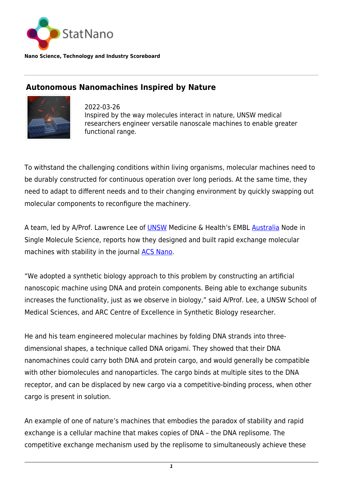

**Nano Science, Technology and Industry Scoreboard**

## **Autonomous Nanomachines Inspired by Nature**



2022-03-26 Inspired by the way molecules interact in nature, UNSW medical researchers engineer versatile nanoscale machines to enable greater functional range.

To withstand the challenging conditions within living organisms, molecular machines need to be durably constructed for continuous operation over long periods. At the same time, they need to adapt to different needs and to their changing environment by quickly swapping out molecular components to reconfigure the machinery.

A team, led by A/Prof. Lawrence Lee of [UNSW](https://statnano.com/org/University-of-New-South-Wales) Medicine & Health's EMBL [Australia](http://statnano.com/country/Australia) Node in Single Molecule Science, reports how they designed and built rapid exchange molecular machines with stability in the journal [ACS Nano](https://pubs.acs.org/doi/10.1021/acsnano.2c00699).

"We adopted a synthetic biology approach to this problem by constructing an artificial nanoscopic machine using DNA and protein components. Being able to exchange subunits increases the functionality, just as we observe in biology," said A/Prof. Lee, a UNSW School of Medical Sciences, and ARC Centre of Excellence in Synthetic Biology researcher.

He and his team engineered molecular machines by folding DNA strands into threedimensional shapes, a technique called DNA origami. They showed that their DNA nanomachines could carry both DNA and protein cargo, and would generally be compatible with other biomolecules and nanoparticles. The cargo binds at multiple sites to the DNA receptor, and can be displaced by new cargo via a competitive-binding process, when other cargo is present in solution.

An example of one of nature's machines that embodies the paradox of stability and rapid exchange is a cellular machine that makes copies of DNA – the DNA replisome. The competitive exchange mechanism used by the replisome to simultaneously achieve these